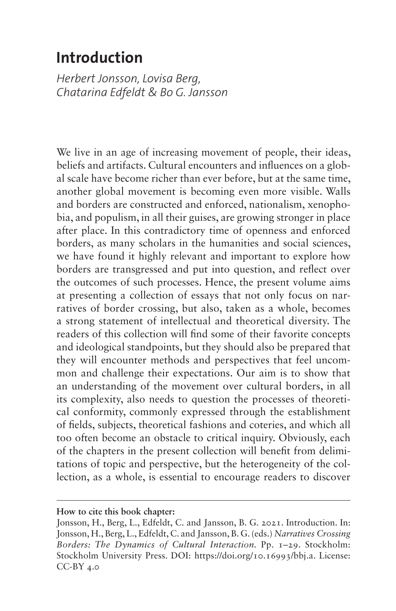# <span id="page-0-0"></span>**Introduction**

*Herbert Jonsson, Lovisa Berg, Chatarina Edfeldt & Bo G. Jansson*

We live in an age of increasing movement of people, their ideas, beliefs and artifacts. Cultural encounters and influences on a global scale have become richer than ever before, but at the same time, another global movement is becoming even more visible. Walls and borders are constructed and enforced, nationalism, xenophobia, and populism, in all their guises, are growing stronger in place after place. In this contradictory time of openness and enforced borders, as many scholars in the humanities and social sciences, we have found it highly relevant and important to explore how borders are transgressed and put into question, and reflect over the outcomes of such processes. Hence, the present volume aims at presenting a collection of essays that not only focus on narratives of border crossing, but also, taken as a whole, becomes a strong statement of intellectual and theoretical diversity. The readers of this collection will find some of their favorite concepts and ideological standpoints, but they should also be prepared that they will encounter methods and perspectives that feel uncommon and challenge their expectations. Our aim is to show that an understanding of the movement over cultural borders, in all its complexity, also needs to question the processes of theoretical conformity, commonly expressed through the establishment of fields, subjects, theoretical fashions and coteries, and which all too often become an obstacle to critical inquiry. Obviously, each of the chapters in the present collection will benefit from delimitations of topic and perspective, but the heterogeneity of the collection, as a whole, is essential to encourage readers to discover

**How to cite this book chapter:**

Jonsson, H., Berg, L., Edfeldt, C. and Jansson, B. G. 2021. Introduction. In: Jonsson, H., Berg, L., Edfeldt, C. and Jansson, B. G. (eds.) *Narratives Crossing Borders: The Dynamics of Cultural Interaction.* Pp. 1–29. Stockholm: Stockholm University Press. DOI: <https://doi.org/10.16993/bbj.a>. License:  $CC-BY$  4.0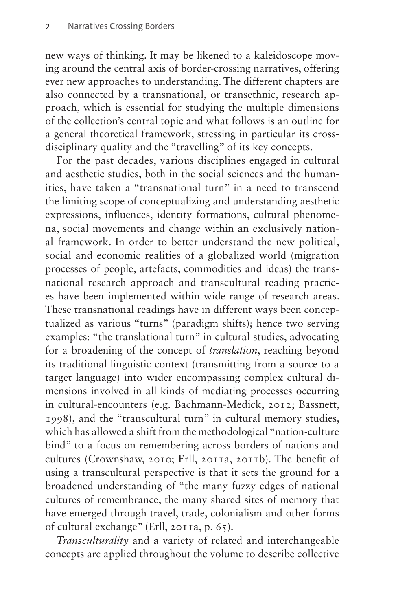new ways of thinking. It may be likened to a kaleidoscope moving around the central axis of border-crossing narratives, offering ever new approaches to understanding. The different chapters are also connected by a transnational, or transethnic, research approach, which is essential for studying the multiple dimensions of the collection's central topic and what follows is an outline for a general theoretical framework, stressing in particular its crossdisciplinary quality and the "travelling" of its key concepts.

For the past decades, various disciplines engaged in cultural and aesthetic studies, both in the social sciences and the humanities, have taken a "transnational turn" in a need to transcend the limiting scope of conceptualizing and understanding aesthetic expressions, influences, identity formations, cultural phenomena, social movements and change within an exclusively national framework. In order to better understand the new political, social and economic realities of a globalized world (migration processes of people, artefacts, commodities and ideas) the transnational research approach and transcultural reading practices have been implemented within wide range of research areas. These transnational readings have in different ways been conceptualized as various "turns" (paradigm shifts); hence two serving examples: "the translational turn" in cultural studies, advocating for a broadening of the concept of *translation*, reaching beyond its traditional linguistic context (transmitting from a source to a target language) into wider encompassing complex cultural dimensions involved in all kinds of mediating processes occurring in cultural-encounters (e.g. Bachmann-Medick, 2012; Bassnett, 1998), and the "transcultural turn" in cultural memory studies, which has allowed a shift from the methodological "nation-culture bind" to a focus on remembering across borders of nations and cultures (Crownshaw, 2010; Erll, 2011a, 2011b). The benefit of using a transcultural perspective is that it sets the ground for a broadened understanding of "the many fuzzy edges of national cultures of remembrance, the many shared sites of memory that have emerged through travel, trade, colonialism and other forms of cultural exchange" (Erll, 2011a, p. 65).

*Transculturality* and a variety of related and interchangeable concepts are applied throughout the volume to describe collective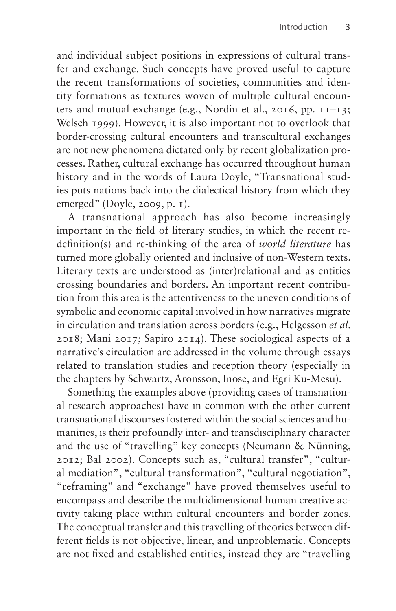and individual subject positions in expressions of cultural transfer and exchange. Such concepts have proved useful to capture the recent transformations of societies, communities and identity formations as textures woven of multiple cultural encounters and mutual exchange (e.g., Nordin et al., 2016, pp. 11–13; Welsch 1999). However, it is also important not to overlook that border-crossing cultural encounters and transcultural exchanges are not new phenomena dictated only by recent globalization processes. Rather, cultural exchange has occurred throughout human history and in the words of Laura Doyle, "Transnational studies puts nations back into the dialectical history from which they emerged" (Doyle, 2009, p. 1).

A transnational approach has also become increasingly important in the field of literary studies, in which the recent redefinition(s) and re-thinking of the area of *world literature* has turned more globally oriented and inclusive of non-Western texts. Literary texts are understood as (inter)relational and as entities crossing boundaries and borders. An important recent contribution from this area is the attentiveness to the uneven conditions of symbolic and economic capital involved in how narratives migrate in circulation and translation across borders (e.g., Helgesson *et al*. 2018; Mani 2017; Sapiro 2014). These sociological aspects of a narrative's circulation are addressed in the volume through essays related to translation studies and reception theory (especially in the chapters by Schwartz, Aronsson, Inose, and Egri Ku-Mesu).

Something the examples above (providing cases of transnational research approaches) have in common with the other current transnational discourses fostered within the social sciences and humanities, is their profoundly inter- and transdisciplinary character and the use of "travelling" key concepts (Neumann & Nünning, 2012; Bal 2002). Concepts such as, "cultural transfer", "cultural mediation", "cultural transformation", "cultural negotiation", "reframing" and "exchange" have proved themselves useful to encompass and describe the multidimensional human creative activity taking place within cultural encounters and border zones. The conceptual transfer and this travelling of theories between different fields is not objective, linear, and unproblematic. Concepts are not fixed and established entities, instead they are "travelling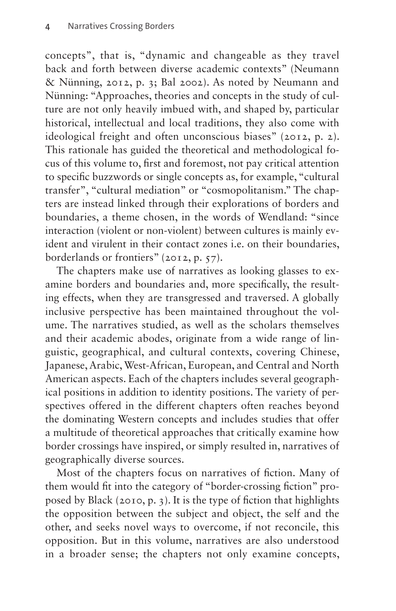concepts", that is, "dynamic and changeable as they travel back and forth between diverse academic contexts" (Neumann & Nünning, 2012, p. 3; Bal 2002). As noted by Neumann and Nünning: "Approaches, theories and concepts in the study of culture are not only heavily imbued with, and shaped by, particular historical, intellectual and local traditions, they also come with ideological freight and often unconscious biases" (2012, p. 2). This rationale has guided the theoretical and methodological focus of this volume to, first and foremost, not pay critical attention to specific buzzwords or single concepts as, for example, "cultural transfer", "cultural mediation" or "cosmopolitanism." The chapters are instead linked through their explorations of borders and boundaries, a theme chosen, in the words of Wendland: "since interaction (violent or non-violent) between cultures is mainly evident and virulent in their contact zones i.e. on their boundaries, borderlands or frontiers" (2012, p. 57).

The chapters make use of narratives as looking glasses to examine borders and boundaries and, more specifically, the resulting effects, when they are transgressed and traversed. A globally inclusive perspective has been maintained throughout the volume. The narratives studied, as well as the scholars themselves and their academic abodes, originate from a wide range of linguistic, geographical, and cultural contexts, covering Chinese, Japanese, Arabic, West-African, European, and Central and North American aspects. Each of the chapters includes several geographical positions in addition to identity positions. The variety of perspectives offered in the different chapters often reaches beyond the dominating Western concepts and includes studies that offer a multitude of theoretical approaches that critically examine how border crossings have inspired, or simply resulted in, narratives of geographically diverse sources.

Most of the chapters focus on narratives of fiction. Many of them would fit into the category of "border-crossing fiction" proposed by Black (2010, p. 3). It is the type of fiction that highlights the opposition between the subject and object, the self and the other, and seeks novel ways to overcome, if not reconcile, this opposition. But in this volume, narratives are also understood in a broader sense; the chapters not only examine concepts,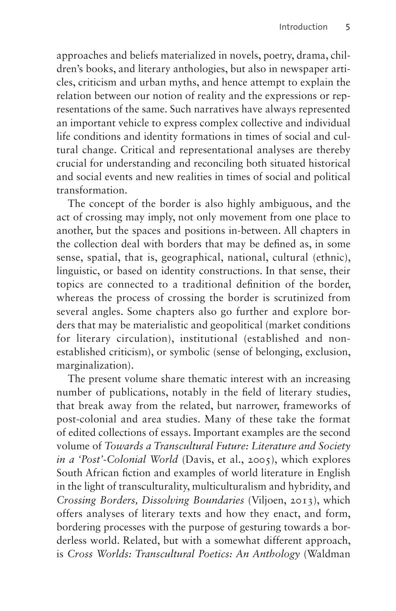approaches and beliefs materialized in novels, poetry, drama, children's books, and literary anthologies, but also in newspaper articles, criticism and urban myths, and hence attempt to explain the relation between our notion of reality and the expressions or representations of the same. Such narratives have always represented an important vehicle to express complex collective and individual life conditions and identity formations in times of social and cultural change. Critical and representational analyses are thereby crucial for understanding and reconciling both situated historical and social events and new realities in times of social and political transformation.

The concept of the border is also highly ambiguous, and the act of crossing may imply, not only movement from one place to another, but the spaces and positions in-between. All chapters in the collection deal with borders that may be defined as, in some sense, spatial, that is, geographical, national, cultural (ethnic), linguistic, or based on identity constructions. In that sense, their topics are connected to a traditional definition of the border, whereas the process of crossing the border is scrutinized from several angles. Some chapters also go further and explore borders that may be materialistic and geopolitical (market conditions for literary circulation), institutional (established and nonestablished criticism), or symbolic (sense of belonging, exclusion, marginalization).

The present volume share thematic interest with an increasing number of publications, notably in the field of literary studies, that break away from the related, but narrower, frameworks of post-colonial and area studies. Many of these take the format of edited collections of essays. Important examples are the second volume of *Towards a Transcultural Future: Literature and Society in a 'Post'-Colonial World* (Davis, et al., 2005), which explores South African fiction and examples of world literature in English in the light of transculturality, multiculturalism and hybridity, and *Crossing Borders, Dissolving Boundaries* (Viljoen, 2013), which offers analyses of literary texts and how they enact, and form, bordering processes with the purpose of gesturing towards a borderless world. Related, but with a somewhat different approach, is *Cross Worlds: Transcultural Poetics: An Anthology* (Waldman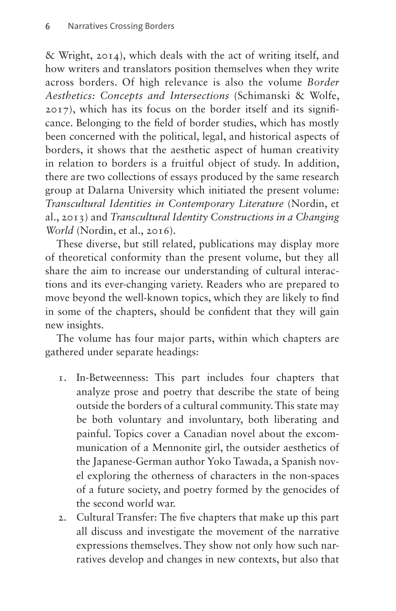& Wright, 2014), which deals with the act of writing itself, and how writers and translators position themselves when they write across borders. Of high relevance is also the volume *Border Aesthetics: Concepts and Intersections* (Schimanski & Wolfe, 2017), which has its focus on the border itself and its significance. Belonging to the field of border studies, which has mostly been concerned with the political, legal, and historical aspects of borders, it shows that the aesthetic aspect of human creativity in relation to borders is a fruitful object of study. In addition, there are two collections of essays produced by the same research group at Dalarna University which initiated the present volume: *Transcultural Identities in Contemporary Literature* (Nordin, et al., 2013) and *Transcultural Identity Constructions in a Changing World* (Nordin, et al., 2016).

These diverse, but still related, publications may display more of theoretical conformity than the present volume, but they all share the aim to increase our understanding of cultural interactions and its ever-changing variety. Readers who are prepared to move beyond the well-known topics, which they are likely to find in some of the chapters, should be confident that they will gain new insights.

The volume has four major parts, within which chapters are gathered under separate headings:

- 1. In-Betweenness: This part includes four chapters that analyze prose and poetry that describe the state of being outside the borders of a cultural community. This state may be both voluntary and involuntary, both liberating and painful. Topics cover a Canadian novel about the excommunication of a Mennonite girl, the outsider aesthetics of the Japanese-German author Yoko Tawada, a Spanish novel exploring the otherness of characters in the non-spaces of a future society, and poetry formed by the genocides of the second world war.
- 2. Cultural Transfer: The five chapters that make up this part all discuss and investigate the movement of the narrative expressions themselves. They show not only how such narratives develop and changes in new contexts, but also that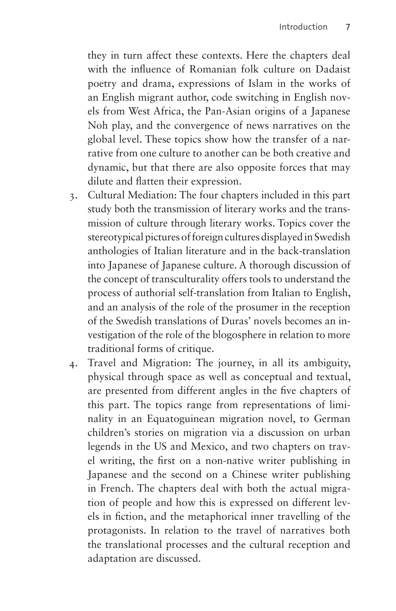they in turn affect these contexts. Here the chapters deal with the influence of Romanian folk culture on Dadaist poetry and drama, expressions of Islam in the works of an English migrant author, code switching in English novels from West Africa, the Pan-Asian origins of a Japanese Noh play, and the convergence of news narratives on the global level. These topics show how the transfer of a narrative from one culture to another can be both creative and dynamic, but that there are also opposite forces that may dilute and flatten their expression.

- 3. Cultural Mediation: The four chapters included in this part study both the transmission of literary works and the transmission of culture through literary works. Topics cover the stereotypical pictures of foreign cultures displayed in Swedish anthologies of Italian literature and in the back-translation into Japanese of Japanese culture. A thorough discussion of the concept of transculturality offers tools to understand the process of authorial self-translation from Italian to English, and an analysis of the role of the prosumer in the reception of the Swedish translations of Duras' novels becomes an investigation of the role of the blogosphere in relation to more traditional forms of critique.
- 4. Travel and Migration: The journey, in all its ambiguity, physical through space as well as conceptual and textual, are presented from different angles in the five chapters of this part. The topics range from representations of liminality in an Equatoguinean migration novel, to German children's stories on migration via a discussion on urban legends in the US and Mexico, and two chapters on travel writing, the first on a non-native writer publishing in Japanese and the second on a Chinese writer publishing in French. The chapters deal with both the actual migration of people and how this is expressed on different levels in fiction, and the metaphorical inner travelling of the protagonists. In relation to the travel of narratives both the translational processes and the cultural reception and adaptation are discussed.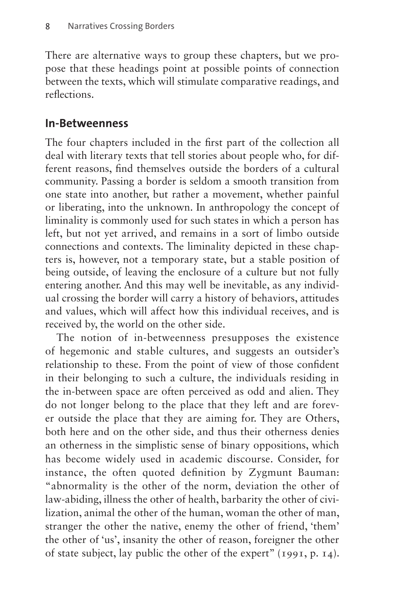There are alternative ways to group these chapters, but we propose that these headings point at possible points of connection between the texts, which will stimulate comparative readings, and reflections.

### **In-Betweenness**

The four chapters included in the first part of the collection all deal with literary texts that tell stories about people who, for different reasons, find themselves outside the borders of a cultural community. Passing a border is seldom a smooth transition from one state into another, but rather a movement, whether painful or liberating, into the unknown. In anthropology the concept of liminality is commonly used for such states in which a person has left, but not yet arrived, and remains in a sort of limbo outside connections and contexts. The liminality depicted in these chapters is, however, not a temporary state, but a stable position of being outside, of leaving the enclosure of a culture but not fully entering another. And this may well be inevitable, as any individual crossing the border will carry a history of behaviors, attitudes and values, which will affect how this individual receives, and is received by, the world on the other side.

The notion of in-betweenness presupposes the existence of hegemonic and stable cultures, and suggests an outsider's relationship to these. From the point of view of those confident in their belonging to such a culture, the individuals residing in the in-between space are often perceived as odd and alien. They do not longer belong to the place that they left and are forever outside the place that they are aiming for. They are Others, both here and on the other side, and thus their otherness denies an otherness in the simplistic sense of binary oppositions, which has become widely used in academic discourse. Consider, for instance, the often quoted definition by Zygmunt Bauman: "abnormality is the other of the norm, deviation the other of law-abiding, illness the other of health, barbarity the other of civilization, animal the other of the human, woman the other of man, stranger the other the native, enemy the other of friend, 'them' the other of 'us', insanity the other of reason, foreigner the other of state subject, lay public the other of the expert" (1991, p. 14).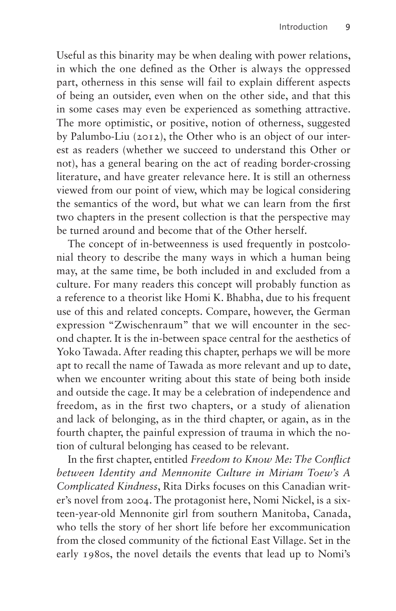Useful as this binarity may be when dealing with power relations, in which the one defined as the Other is always the oppressed part, otherness in this sense will fail to explain different aspects of being an outsider, even when on the other side, and that this in some cases may even be experienced as something attractive. The more optimistic, or positive, notion of otherness, suggested by Palumbo-Liu (2012), the Other who is an object of our interest as readers (whether we succeed to understand this Other or not), has a general bearing on the act of reading border-crossing literature, and have greater relevance here. It is still an otherness viewed from our point of view, which may be logical considering the semantics of the word, but what we can learn from the first two chapters in the present collection is that the perspective may be turned around and become that of the Other herself.

The concept of in-betweenness is used frequently in postcolonial theory to describe the many ways in which a human being may, at the same time, be both included in and excluded from a culture. For many readers this concept will probably function as a reference to a theorist like Homi K. Bhabha, due to his frequent use of this and related concepts. Compare, however, the German expression "Zwischenraum" that we will encounter in the second chapter. It is the in-between space central for the aesthetics of Yoko Tawada. After reading this chapter, perhaps we will be more apt to recall the name of Tawada as more relevant and up to date, when we encounter writing about this state of being both inside and outside the cage. It may be a celebration of independence and freedom, as in the first two chapters, or a study of alienation and lack of belonging, as in the third chapter, or again, as in the fourth chapter, the painful expression of trauma in which the notion of cultural belonging has ceased to be relevant.

In the first chapter, entitled *Freedom to Know Me: The Conflict between Identity and Mennonite Culture in Miriam Toew's A Complicated Kindness*, Rita Dirks focuses on this Canadian writer's novel from 2004. The protagonist here, Nomi Nickel, is a sixteen-year-old Mennonite girl from southern Manitoba, Canada, who tells the story of her short life before her excommunication from the closed community of the fictional East Village. Set in the early 1980s, the novel details the events that lead up to Nomi's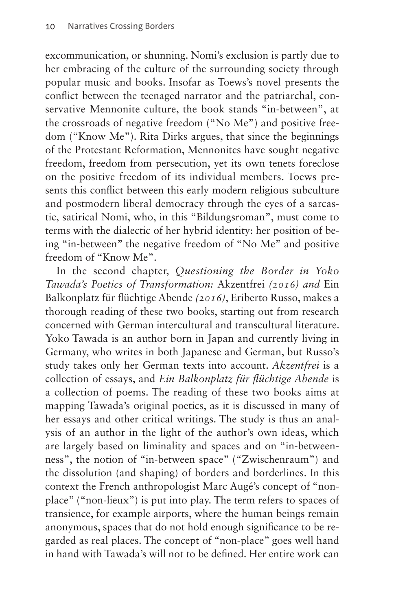excommunication, or shunning. Nomi's exclusion is partly due to her embracing of the culture of the surrounding society through popular music and books. Insofar as Toews's novel presents the conflict between the teenaged narrator and the patriarchal, conservative Mennonite culture, the book stands "in-between", at the crossroads of negative freedom ("No Me") and positive freedom ("Know Me"). Rita Dirks argues, that since the beginnings of the Protestant Reformation, Mennonites have sought negative freedom, freedom from persecution, yet its own tenets foreclose on the positive freedom of its individual members. Toews presents this conflict between this early modern religious subculture and postmodern liberal democracy through the eyes of a sarcastic, satirical Nomi, who, in this "Bildungsroman", must come to terms with the dialectic of her hybrid identity: her position of being "in-between" the negative freedom of "No Me" and positive freedom of "Know Me".

In the second chapter, *Questioning the Border in Yoko Tawada's Poetics of Transformation:* Akzentfrei *(2016) and* Ein Balkonplatz für flüchtige Abende *(2016)*, Eriberto Russo, makes a thorough reading of these two books, starting out from research concerned with German intercultural and transcultural literature. Yoko Tawada is an author born in Japan and currently living in Germany, who writes in both Japanese and German, but Russo's study takes only her German texts into account. *Akzentfrei* is a collection of essays, and *Ein Balkonplatz für flüchtige Abende* is a collection of poems. The reading of these two books aims at mapping Tawada's original poetics, as it is discussed in many of her essays and other critical writings. The study is thus an analysis of an author in the light of the author's own ideas, which are largely based on liminality and spaces and on "in-betweenness", the notion of "in-between space" ("Zwischenraum") and the dissolution (and shaping) of borders and borderlines. In this context the French anthropologist Marc Augé's concept of "nonplace" ("non-lieux") is put into play. The term refers to spaces of transience, for example airports, where the human beings remain anonymous, spaces that do not hold enough significance to be regarded as real places. The concept of "non-place" goes well hand in hand with Tawada's will not to be defined. Her entire work can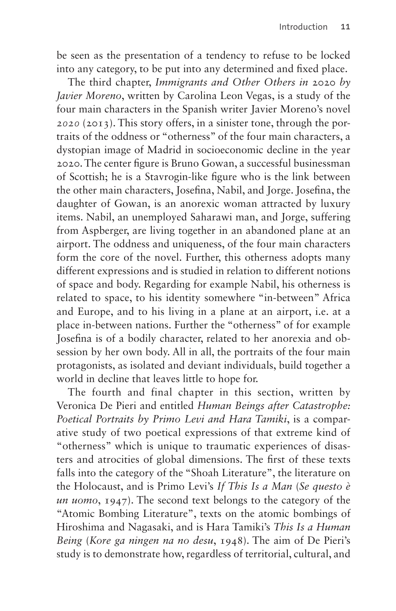be seen as the presentation of a tendency to refuse to be locked into any category, to be put into any determined and fixed place.

The third chapter, *Immigrants and Other Others in* 2020 *by Javier Moreno*, written by Carolina Leon Vegas, is a study of the four main characters in the Spanish writer Javier Moreno's novel *2020* (2013). This story offers, in a sinister tone, through the portraits of the oddness or "otherness" of the four main characters, a dystopian image of Madrid in socioeconomic decline in the year 2020. The center figure is Bruno Gowan, a successful businessman of Scottish; he is a Stavrogin-like figure who is the link between the other main characters, Josefina, Nabil, and Jorge. Josefina, the daughter of Gowan, is an anorexic woman attracted by luxury items. Nabil, an unemployed Saharawi man, and Jorge, suffering from Aspberger, are living together in an abandoned plane at an airport. The oddness and uniqueness, of the four main characters form the core of the novel. Further, this otherness adopts many different expressions and is studied in relation to different notions of space and body. Regarding for example Nabil, his otherness is related to space, to his identity somewhere "in-between" Africa and Europe, and to his living in a plane at an airport, i.e. at a place in-between nations. Further the "otherness" of for example Josefina is of a bodily character, related to her anorexia and obsession by her own body. All in all, the portraits of the four main protagonists, as isolated and deviant individuals, build together a world in decline that leaves little to hope for.

The fourth and final chapter in this section, written by Veronica De Pieri and entitled *Human Beings after Catastrophe: Poetical Portraits by Primo Levi and Hara Tamiki*, is a comparative study of two poetical expressions of that extreme kind of "otherness" which is unique to traumatic experiences of disasters and atrocities of global dimensions. The first of these texts falls into the category of the "Shoah Literature", the literature on the Holocaust, and is Primo Levi's *If This Is a Man* (*Se questo è un uomo*, 1947). The second text belongs to the category of the "Atomic Bombing Literature", texts on the atomic bombings of Hiroshima and Nagasaki, and is Hara Tamiki's *This Is a Human Being* (*Kore ga ningen na no desu*, 1948). The aim of De Pieri's study is to demonstrate how, regardless of territorial, cultural, and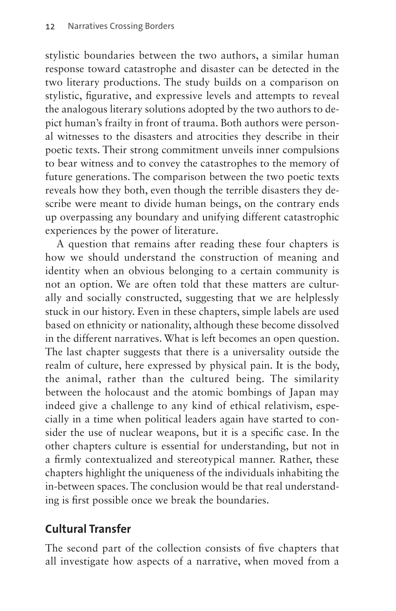stylistic boundaries between the two authors, a similar human response toward catastrophe and disaster can be detected in the two literary productions. The study builds on a comparison on stylistic, figurative, and expressive levels and attempts to reveal the analogous literary solutions adopted by the two authors to depict human's frailty in front of trauma. Both authors were personal witnesses to the disasters and atrocities they describe in their poetic texts. Their strong commitment unveils inner compulsions to bear witness and to convey the catastrophes to the memory of future generations. The comparison between the two poetic texts reveals how they both, even though the terrible disasters they describe were meant to divide human beings, on the contrary ends up overpassing any boundary and unifying different catastrophic experiences by the power of literature.

A question that remains after reading these four chapters is how we should understand the construction of meaning and identity when an obvious belonging to a certain community is not an option. We are often told that these matters are culturally and socially constructed, suggesting that we are helplessly stuck in our history. Even in these chapters, simple labels are used based on ethnicity or nationality, although these become dissolved in the different narratives. What is left becomes an open question. The last chapter suggests that there is a universality outside the realm of culture, here expressed by physical pain. It is the body, the animal, rather than the cultured being. The similarity between the holocaust and the atomic bombings of Japan may indeed give a challenge to any kind of ethical relativism, especially in a time when political leaders again have started to consider the use of nuclear weapons, but it is a specific case. In the other chapters culture is essential for understanding, but not in a firmly contextualized and stereotypical manner. Rather, these chapters highlight the uniqueness of the individuals inhabiting the in-between spaces. The conclusion would be that real understanding is first possible once we break the boundaries.

# **Cultural Transfer**

The second part of the collection consists of five chapters that all investigate how aspects of a narrative, when moved from a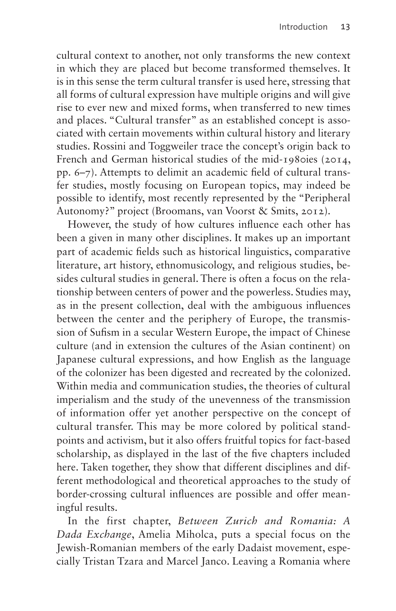cultural context to another, not only transforms the new context in which they are placed but become transformed themselves. It is in this sense the term cultural transfer is used here, stressing that all forms of cultural expression have multiple origins and will give rise to ever new and mixed forms, when transferred to new times and places. "Cultural transfer" as an established concept is associated with certain movements within cultural history and literary studies. Rossini and Toggweiler trace the concept's origin back to French and German historical studies of the mid-1980ies (2014, pp. 6–7). Attempts to delimit an academic field of cultural transfer studies, mostly focusing on European topics, may indeed be possible to identify, most recently represented by the "Peripheral Autonomy?" project (Broomans, van Voorst & Smits, 2012).

However, the study of how cultures influence each other has been a given in many other disciplines. It makes up an important part of academic fields such as historical linguistics, comparative literature, art history, ethnomusicology, and religious studies, besides cultural studies in general. There is often a focus on the relationship between centers of power and the powerless. Studies may, as in the present collection, deal with the ambiguous influences between the center and the periphery of Europe, the transmission of Sufism in a secular Western Europe, the impact of Chinese culture (and in extension the cultures of the Asian continent) on Japanese cultural expressions, and how English as the language of the colonizer has been digested and recreated by the colonized. Within media and communication studies, the theories of cultural imperialism and the study of the unevenness of the transmission of information offer yet another perspective on the concept of cultural transfer. This may be more colored by political standpoints and activism, but it also offers fruitful topics for fact-based scholarship, as displayed in the last of the five chapters included here. Taken together, they show that different disciplines and different methodological and theoretical approaches to the study of border-crossing cultural influences are possible and offer meaningful results.

In the first chapter, *Between Zurich and Romania: A Dada Exchange*, Amelia Miholca, puts a special focus on the Jewish-Romanian members of the early Dadaist movement, especially Tristan Tzara and Marcel Janco. Leaving a Romania where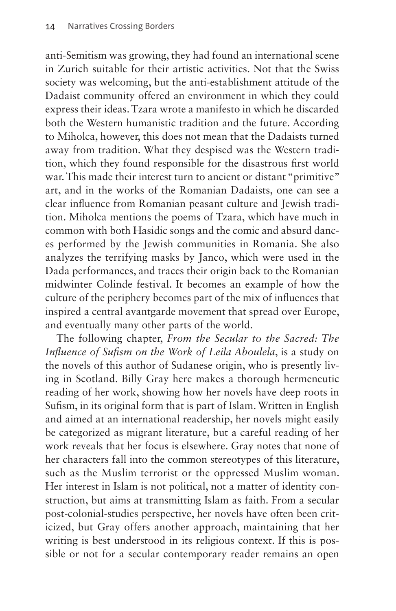anti-Semitism was growing, they had found an international scene in Zurich suitable for their artistic activities. Not that the Swiss society was welcoming, but the anti-establishment attitude of the Dadaist community offered an environment in which they could express their ideas. Tzara wrote a manifesto in which he discarded both the Western humanistic tradition and the future. According to Miholca, however, this does not mean that the Dadaists turned away from tradition. What they despised was the Western tradition, which they found responsible for the disastrous first world war. This made their interest turn to ancient or distant "primitive" art, and in the works of the Romanian Dadaists, one can see a clear influence from Romanian peasant culture and Jewish tradition. Miholca mentions the poems of Tzara, which have much in common with both Hasidic songs and the comic and absurd dances performed by the Jewish communities in Romania. She also analyzes the terrifying masks by Janco, which were used in the Dada performances, and traces their origin back to the Romanian midwinter Colinde festival. It becomes an example of how the culture of the periphery becomes part of the mix of influences that inspired a central avantgarde movement that spread over Europe, and eventually many other parts of the world.

The following chapter, *From the Secular to the Sacred: The Influence of Sufism on the Work of Leila Aboulela*, is a study on the novels of this author of Sudanese origin, who is presently living in Scotland. Billy Gray here makes a thorough hermeneutic reading of her work, showing how her novels have deep roots in Sufism, in its original form that is part of Islam. Written in English and aimed at an international readership, her novels might easily be categorized as migrant literature, but a careful reading of her work reveals that her focus is elsewhere. Gray notes that none of her characters fall into the common stereotypes of this literature, such as the Muslim terrorist or the oppressed Muslim woman. Her interest in Islam is not political, not a matter of identity construction, but aims at transmitting Islam as faith. From a secular post-colonial-studies perspective, her novels have often been criticized, but Gray offers another approach, maintaining that her writing is best understood in its religious context. If this is possible or not for a secular contemporary reader remains an open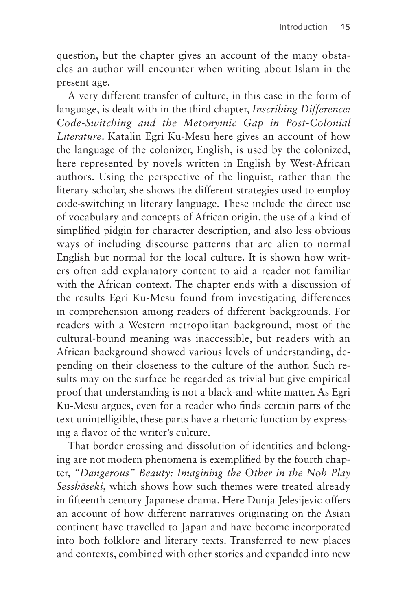question, but the chapter gives an account of the many obstacles an author will encounter when writing about Islam in the present age.

A very different transfer of culture, in this case in the form of language, is dealt with in the third chapter, *Inscribing Difference: Code-Switching and the Metonymic Gap in Post-Colonial Literature*. Katalin Egri Ku-Mesu here gives an account of how the language of the colonizer, English, is used by the colonized, here represented by novels written in English by West-African authors. Using the perspective of the linguist, rather than the literary scholar, she shows the different strategies used to employ code-switching in literary language. These include the direct use of vocabulary and concepts of African origin, the use of a kind of simplified pidgin for character description, and also less obvious ways of including discourse patterns that are alien to normal English but normal for the local culture. It is shown how writers often add explanatory content to aid a reader not familiar with the African context. The chapter ends with a discussion of the results Egri Ku-Mesu found from investigating differences in comprehension among readers of different backgrounds. For readers with a Western metropolitan background, most of the cultural-bound meaning was inaccessible, but readers with an African background showed various levels of understanding, depending on their closeness to the culture of the author. Such results may on the surface be regarded as trivial but give empirical proof that understanding is not a black-and-white matter. As Egri Ku-Mesu argues, even for a reader who finds certain parts of the text unintelligible, these parts have a rhetoric function by expressing a flavor of the writer's culture.

That border crossing and dissolution of identities and belonging are not modern phenomena is exemplified by the fourth chapter, *"Dangerous" Beauty: Imagining the Other in the Noh Play Sesshōseki*, which shows how such themes were treated already in fifteenth century Japanese drama. Here Dunja Jelesijevic offers an account of how different narratives originating on the Asian continent have travelled to Japan and have become incorporated into both folklore and literary texts. Transferred to new places and contexts, combined with other stories and expanded into new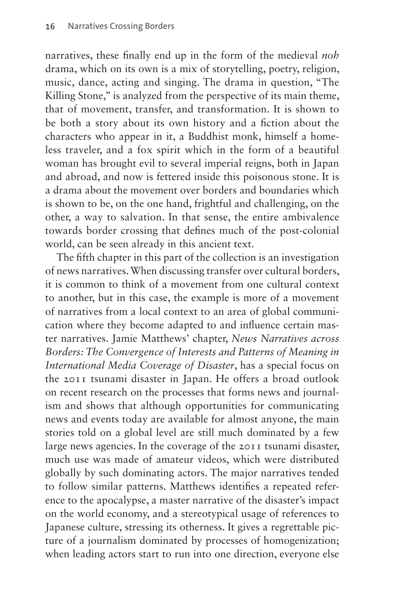narratives, these finally end up in the form of the medieval *noh* drama, which on its own is a mix of storytelling, poetry, religion, music, dance, acting and singing. The drama in question, "The Killing Stone," is analyzed from the perspective of its main theme, that of movement, transfer, and transformation. It is shown to be both a story about its own history and a fiction about the characters who appear in it, a Buddhist monk, himself a homeless traveler, and a fox spirit which in the form of a beautiful woman has brought evil to several imperial reigns, both in Japan and abroad, and now is fettered inside this poisonous stone. It is a drama about the movement over borders and boundaries which is shown to be, on the one hand, frightful and challenging, on the other, a way to salvation. In that sense, the entire ambivalence towards border crossing that defines much of the post-colonial world, can be seen already in this ancient text.

The fifth chapter in this part of the collection is an investigation of news narratives. When discussing transfer over cultural borders, it is common to think of a movement from one cultural context to another, but in this case, the example is more of a movement of narratives from a local context to an area of global communication where they become adapted to and influence certain master narratives. Jamie Matthews' chapter, *News Narratives across Borders: The Convergence of Interests and Patterns of Meaning in International Media Coverage of Disaster*, has a special focus on the 2011 tsunami disaster in Japan. He offers a broad outlook on recent research on the processes that forms news and journalism and shows that although opportunities for communicating news and events today are available for almost anyone, the main stories told on a global level are still much dominated by a few large news agencies. In the coverage of the 2011 tsunami disaster, much use was made of amateur videos, which were distributed globally by such dominating actors. The major narratives tended to follow similar patterns. Matthews identifies a repeated reference to the apocalypse, a master narrative of the disaster's impact on the world economy, and a stereotypical usage of references to Japanese culture, stressing its otherness. It gives a regrettable picture of a journalism dominated by processes of homogenization; when leading actors start to run into one direction, everyone else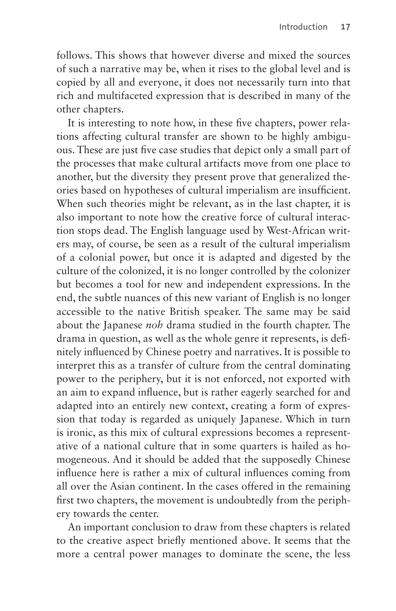follows. This shows that however diverse and mixed the sources of such a narrative may be, when it rises to the global level and is copied by all and everyone, it does not necessarily turn into that rich and multifaceted expression that is described in many of the other chapters.

It is interesting to note how, in these five chapters, power relations affecting cultural transfer are shown to be highly ambiguous. These are just five case studies that depict only a small part of the processes that make cultural artifacts move from one place to another, but the diversity they present prove that generalized theories based on hypotheses of cultural imperialism are insufficient. When such theories might be relevant, as in the last chapter, it is also important to note how the creative force of cultural interaction stops dead. The English language used by West-African writers may, of course, be seen as a result of the cultural imperialism of a colonial power, but once it is adapted and digested by the culture of the colonized, it is no longer controlled by the colonizer but becomes a tool for new and independent expressions. In the end, the subtle nuances of this new variant of English is no longer accessible to the native British speaker. The same may be said about the Japanese *noh* drama studied in the fourth chapter. The drama in question, as well as the whole genre it represents, is definitely influenced by Chinese poetry and narratives. It is possible to interpret this as a transfer of culture from the central dominating power to the periphery, but it is not enforced, not exported with an aim to expand influence, but is rather eagerly searched for and adapted into an entirely new context, creating a form of expression that today is regarded as uniquely Japanese. Which in turn is ironic, as this mix of cultural expressions becomes a representative of a national culture that in some quarters is hailed as homogeneous. And it should be added that the supposedly Chinese influence here is rather a mix of cultural influences coming from all over the Asian continent. In the cases offered in the remaining first two chapters, the movement is undoubtedly from the periphery towards the center.

An important conclusion to draw from these chapters is related to the creative aspect briefly mentioned above. It seems that the more a central power manages to dominate the scene, the less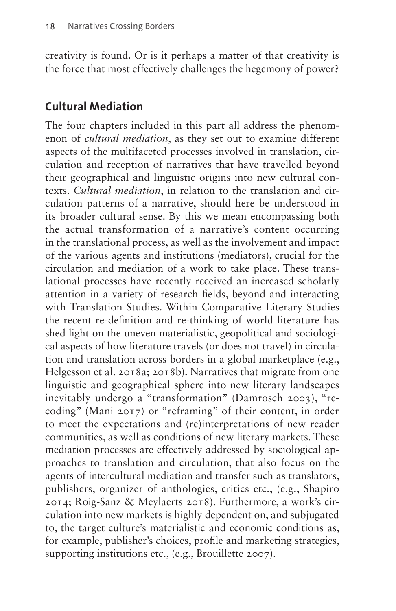creativity is found. Or is it perhaps a matter of that creativity is the force that most effectively challenges the hegemony of power?

## **Cultural Mediation**

The four chapters included in this part all address the phenomenon of *cultural mediation*, as they set out to examine different aspects of the multifaceted processes involved in translation, circulation and reception of narratives that have travelled beyond their geographical and linguistic origins into new cultural contexts. *Cultural mediation*, in relation to the translation and circulation patterns of a narrative, should here be understood in its broader cultural sense. By this we mean encompassing both the actual transformation of a narrative's content occurring in the translational process, as well as the involvement and impact of the various agents and institutions (mediators), crucial for the circulation and mediation of a work to take place. These translational processes have recently received an increased scholarly attention in a variety of research fields, beyond and interacting with Translation Studies. Within Comparative Literary Studies the recent re-definition and re-thinking of world literature has shed light on the uneven materialistic, geopolitical and sociological aspects of how literature travels (or does not travel) in circulation and translation across borders in a global marketplace (e.g., Helgesson et al. 2018a; 2018b). Narratives that migrate from one linguistic and geographical sphere into new literary landscapes inevitably undergo a "transformation" (Damrosch 2003), "recoding" (Mani 2017) or "reframing" of their content, in order to meet the expectations and (re)interpretations of new reader communities, as well as conditions of new literary markets. These mediation processes are effectively addressed by sociological approaches to translation and circulation, that also focus on the agents of intercultural mediation and transfer such as translators, publishers, organizer of anthologies, critics etc., (e.g., Shapiro 2014; Roig-Sanz & Meylaerts 2018). Furthermore, a work's circulation into new markets is highly dependent on, and subjugated to, the target culture's materialistic and economic conditions as, for example, publisher's choices, profile and marketing strategies, supporting institutions etc., (e.g., Brouillette 2007).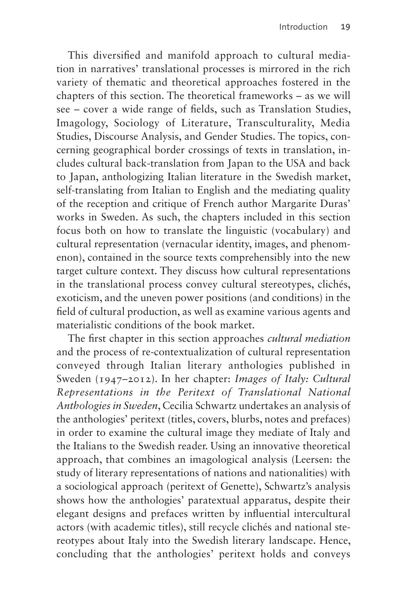This diversified and manifold approach to cultural mediation in narratives' translational processes is mirrored in the rich variety of thematic and theoretical approaches fostered in the chapters of this section. The theoretical frameworks – as we will see – cover a wide range of fields, such as Translation Studies, Imagology, Sociology of Literature, Transculturality, Media Studies, Discourse Analysis, and Gender Studies. The topics, concerning geographical border crossings of texts in translation, includes cultural back-translation from Japan to the USA and back to Japan, anthologizing Italian literature in the Swedish market, self-translating from Italian to English and the mediating quality of the reception and critique of French author Margarite Duras' works in Sweden. As such, the chapters included in this section focus both on how to translate the linguistic (vocabulary) and cultural representation (vernacular identity, images, and phenomenon), contained in the source texts comprehensibly into the new target culture context. They discuss how cultural representations in the translational process convey cultural stereotypes, clichés, exoticism, and the uneven power positions (and conditions) in the field of cultural production, as well as examine various agents and materialistic conditions of the book market.

The first chapter in this section approaches *cultural mediation* and the process of re-contextualization of cultural representation conveyed through Italian literary anthologies published in Sweden (1947–2012). In her chapter: *Images of Italy: Cultural Representations in the Peritext of Translational National Anthologies in Sweden*, Cecilia Schwartz undertakes an analysis of the anthologies' peritext (titles, covers, blurbs, notes and prefaces) in order to examine the cultural image they mediate of Italy and the Italians to the Swedish reader. Using an innovative theoretical approach, that combines an imagological analysis (Leersen: the study of literary representations of nations and nationalities) with a sociological approach (peritext of Genette), Schwartz's analysis shows how the anthologies' paratextual apparatus, despite their elegant designs and prefaces written by influential intercultural actors (with academic titles), still recycle clichés and national stereotypes about Italy into the Swedish literary landscape. Hence, concluding that the anthologies' peritext holds and conveys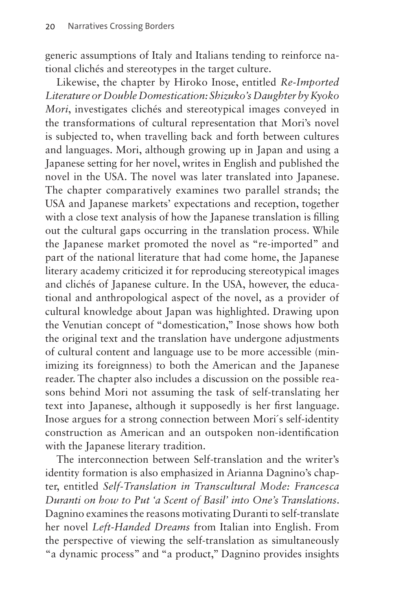generic assumptions of Italy and Italians tending to reinforce national clichés and stereotypes in the target culture.

Likewise, the chapter by Hiroko Inose, entitled *Re-Imported Literature or Double Domestication: Shizuko's Daughter by Kyoko Mori*, investigates clichés and stereotypical images conveyed in the transformations of cultural representation that Mori's novel is subjected to, when travelling back and forth between cultures and languages. Mori, although growing up in Japan and using a Japanese setting for her novel, writes in English and published the novel in the USA. The novel was later translated into Japanese. The chapter comparatively examines two parallel strands; the USA and Japanese markets' expectations and reception, together with a close text analysis of how the Japanese translation is filling out the cultural gaps occurring in the translation process. While the Japanese market promoted the novel as "re-imported" and part of the national literature that had come home, the Japanese literary academy criticized it for reproducing stereotypical images and clichés of Japanese culture. In the USA, however, the educational and anthropological aspect of the novel, as a provider of cultural knowledge about Japan was highlighted. Drawing upon the Venutian concept of "domestication," Inose shows how both the original text and the translation have undergone adjustments of cultural content and language use to be more accessible (minimizing its foreignness) to both the American and the Japanese reader. The chapter also includes a discussion on the possible reasons behind Mori not assuming the task of self-translating her text into Japanese, although it supposedly is her first language. Inose argues for a strong connection between Mori´s self-identity construction as American and an outspoken non-identification with the Japanese literary tradition.

The interconnection between Self-translation and the writer's identity formation is also emphasized in Arianna Dagnino's chapter, entitled *Self-Translation in Transcultural Mode: Francesca Duranti on how to Put 'a Scent of Basil' into One's Translations*. Dagnino examines the reasons motivating Duranti to self-translate her novel *Left-Handed Dreams* from Italian into English. From the perspective of viewing the self-translation as simultaneously "a dynamic process" and "a product," Dagnino provides insights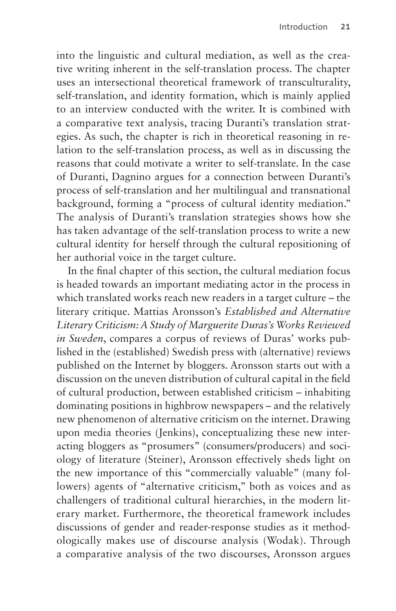into the linguistic and cultural mediation, as well as the creative writing inherent in the self-translation process. The chapter uses an intersectional theoretical framework of transculturality, self-translation, and identity formation, which is mainly applied to an interview conducted with the writer. It is combined with a comparative text analysis, tracing Duranti's translation strategies. As such, the chapter is rich in theoretical reasoning in relation to the self-translation process, as well as in discussing the reasons that could motivate a writer to self-translate. In the case of Duranti, Dagnino argues for a connection between Duranti's process of self-translation and her multilingual and transnational background, forming a "process of cultural identity mediation." The analysis of Duranti's translation strategies shows how she has taken advantage of the self-translation process to write a new cultural identity for herself through the cultural repositioning of her authorial voice in the target culture.

In the final chapter of this section, the cultural mediation focus is headed towards an important mediating actor in the process in which translated works reach new readers in a target culture – the literary critique. Mattias Aronsson's *Established and Alternative Literary Criticism: A Study of Marguerite Duras's Works Reviewed in Sweden*, compares a corpus of reviews of Duras' works published in the (established) Swedish press with (alternative) reviews published on the Internet by bloggers. Aronsson starts out with a discussion on the uneven distribution of cultural capital in the field of cultural production, between established criticism – inhabiting dominating positions in highbrow newspapers – and the relatively new phenomenon of alternative criticism on the internet. Drawing upon media theories (Jenkins), conceptualizing these new interacting bloggers as "prosumers" (consumers/producers) and sociology of literature (Steiner), Aronsson effectively sheds light on the new importance of this "commercially valuable" (many followers) agents of "alternative criticism," both as voices and as challengers of traditional cultural hierarchies, in the modern literary market. Furthermore, the theoretical framework includes discussions of gender and reader-response studies as it methodologically makes use of discourse analysis (Wodak). Through a comparative analysis of the two discourses, Aronsson argues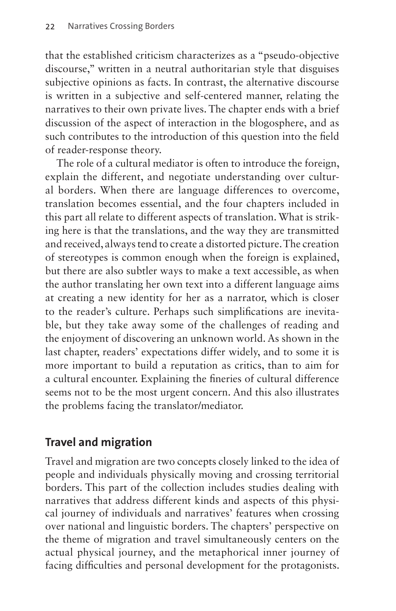that the established criticism characterizes as a "pseudo-objective discourse," written in a neutral authoritarian style that disguises subjective opinions as facts. In contrast, the alternative discourse is written in a subjective and self-centered manner, relating the narratives to their own private lives. The chapter ends with a brief discussion of the aspect of interaction in the blogosphere, and as such contributes to the [introduction](#page-0-0) of this question into the field of reader-response theory.

The role of a cultural mediator is often to introduce the foreign, explain the different, and negotiate understanding over cultural borders. When there are language differences to overcome, translation becomes essential, and the four chapters included in this part all relate to different aspects of translation. What is striking here is that the translations, and the way they are transmitted and received, always tend to create a distorted picture. The creation of stereotypes is common enough when the foreign is explained, but there are also subtler ways to make a text accessible, as when the author translating her own text into a different language aims at creating a new identity for her as a narrator, which is closer to the reader's culture. Perhaps such simplifications are inevitable, but they take away some of the challenges of reading and the enjoyment of discovering an unknown world. As shown in the last chapter, readers' expectations differ widely, and to some it is more important to build a reputation as critics, than to aim for a cultural encounter. Explaining the fineries of cultural difference seems not to be the most urgent concern. And this also illustrates the problems facing the translator/mediator.

# **Travel and migration**

Travel and migration are two concepts closely linked to the idea of people and individuals physically moving and crossing territorial borders. This part of the collection includes studies dealing with narratives that address different kinds and aspects of this physical journey of individuals and narratives' features when crossing over national and linguistic borders. The chapters' perspective on the theme of migration and travel simultaneously centers on the actual physical journey, and the metaphorical inner journey of facing difficulties and personal development for the protagonists.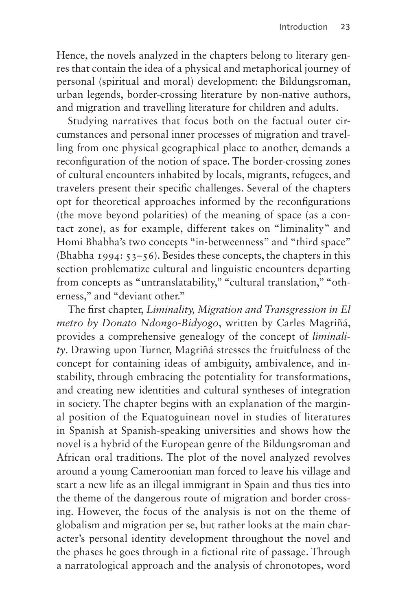Hence, the novels analyzed in the chapters belong to literary genres that contain the idea of a physical and metaphorical journey of personal (spiritual and moral) development: the Bildungsroman, urban legends, border-crossing literature by non-native authors, and migration and travelling literature for children and adults.

Studying narratives that focus both on the factual outer circumstances and personal inner processes of migration and travelling from one physical geographical place to another, demands a reconfiguration of the notion of space. The border-crossing zones of cultural encounters inhabited by locals, migrants, refugees, and travelers present their specific challenges. Several of the chapters opt for theoretical approaches informed by the reconfigurations (the move beyond polarities) of the meaning of space (as a contact zone), as for example, different takes on "liminality" and Homi Bhabha's two concepts "in-betweenness" and "third space" (Bhabha 1994: 53–56). Besides these concepts, the chapters in this section problematize cultural and linguistic encounters departing from concepts as "untranslatability," "cultural translation," "otherness," and "deviant other."

The first chapter, *Liminality, Migration and Transgression in El metro by Donato Ndongo-Bidyogo*, written by Carles Magriñá, provides a comprehensive genealogy of the concept of *liminality*. Drawing upon Turner, Magriñá stresses the fruitfulness of the concept for containing ideas of ambiguity, ambivalence, and instability, through embracing the potentiality for transformations, and creating new identities and cultural syntheses of integration in society. The chapter begins with an explanation of the marginal position of the Equatoguinean novel in studies of literatures in Spanish at Spanish-speaking universities and shows how the novel is a hybrid of the European genre of the Bildungsroman and African oral traditions. The plot of the novel analyzed revolves around a young Cameroonian man forced to leave his village and start a new life as an illegal immigrant in Spain and thus ties into the theme of the dangerous route of migration and border crossing. However, the focus of the analysis is not on the theme of globalism and migration per se, but rather looks at the main character's personal identity development throughout the novel and the phases he goes through in a fictional rite of passage. Through a narratological approach and the analysis of chronotopes, word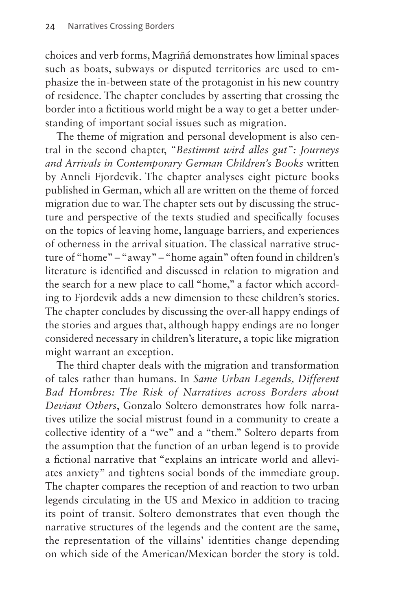choices and verb forms, Magriñá demonstrates how liminal spaces such as boats, subways or disputed territories are used to emphasize the in-between state of the protagonist in his new country of residence. The chapter concludes by asserting that crossing the border into a fictitious world might be a way to get a better understanding of important social issues such as migration.

The theme of migration and personal development is also central in the second chapter, *"Bestimmt wird alles gut": Journeys and Arrivals in Contemporary German Children's Books* written by Anneli Fjordevik. The chapter analyses eight picture books published in German, which all are written on the theme of forced migration due to war. The chapter sets out by discussing the structure and perspective of the texts studied and specifically focuses on the topics of leaving home, language barriers, and experiences of otherness in the arrival situation. The classical narrative structure of "home" – "away" – "home again" often found in children's literature is identified and discussed in relation to migration and the search for a new place to call "home," a factor which according to Fjordevik adds a new dimension to these children's stories. The chapter concludes by discussing the over-all happy endings of the stories and argues that, although happy endings are no longer considered necessary in children's literature, a topic like migration might warrant an exception.

The third chapter deals with the migration and transformation of tales rather than humans. In *Same Urban Legends, Different Bad Hombres: The Risk of Narratives across Borders about Deviant Others*, Gonzalo Soltero demonstrates how folk narratives utilize the social mistrust found in a community to create a collective identity of a "we" and a "them." Soltero departs from the assumption that the function of an urban legend is to provide a fictional narrative that "explains an intricate world and alleviates anxiety" and tightens social bonds of the immediate group. The chapter compares the reception of and reaction to two urban legends circulating in the US and Mexico in addition to tracing its point of transit. Soltero demonstrates that even though the narrative structures of the legends and the content are the same, the representation of the villains' identities change depending on which side of the American/Mexican border the story is told.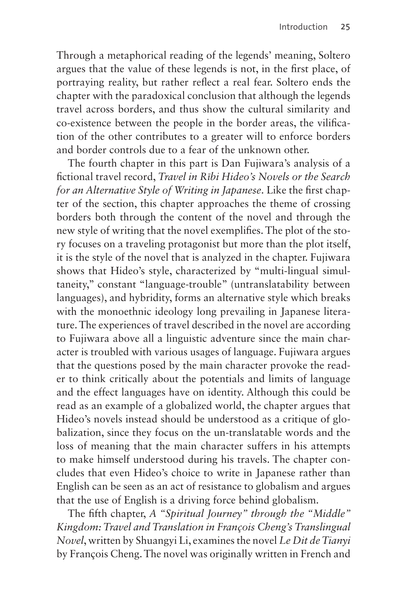Through a metaphorical reading of the legends' meaning, Soltero argues that the value of these legends is not, in the first place, of portraying reality, but rather reflect a real fear. Soltero ends the chapter with the paradoxical conclusion that although the legends travel across borders, and thus show the cultural similarity and co-existence between the people in the border areas, the vilification of the other contributes to a greater will to enforce borders and border controls due to a fear of the unknown other.

The fourth chapter in this part is Dan Fujiwara's analysis of a fictional travel record, *Travel in Rībi Hideo's Novels or the Search for an Alternative Style of Writing in Japanese*. Like the first chapter of the section, this chapter approaches the theme of crossing borders both through the content of the novel and through the new style of writing that the novel exemplifies. The plot of the story focuses on a traveling protagonist but more than the plot itself, it is the style of the novel that is analyzed in the chapter. Fujiwara shows that Hideo's style, characterized by "multi-lingual simultaneity," constant "language-trouble" (untranslatability between languages), and hybridity, forms an alternative style which breaks with the monoethnic ideology long prevailing in Japanese literature. The experiences of travel described in the novel are according to Fujiwara above all a linguistic adventure since the main character is troubled with various usages of language. Fujiwara argues that the questions posed by the main character provoke the reader to think critically about the potentials and limits of language and the effect languages have on identity. Although this could be read as an example of a globalized world, the chapter argues that Hideo's novels instead should be understood as a critique of globalization, since they focus on the un-translatable words and the loss of meaning that the main character suffers in his attempts to make himself understood during his travels. The chapter concludes that even Hideo's choice to write in Japanese rather than English can be seen as an act of resistance to globalism and argues that the use of English is a driving force behind globalism.

The fifth chapter, *A "Spiritual Journey" through the "Middle" Kingdom: Travel and Translation in François Cheng's Translingual Novel*, written by Shuangyi Li, examines the novel *Le Dit de Tianyi*  by François Cheng. The novel was originally written in French and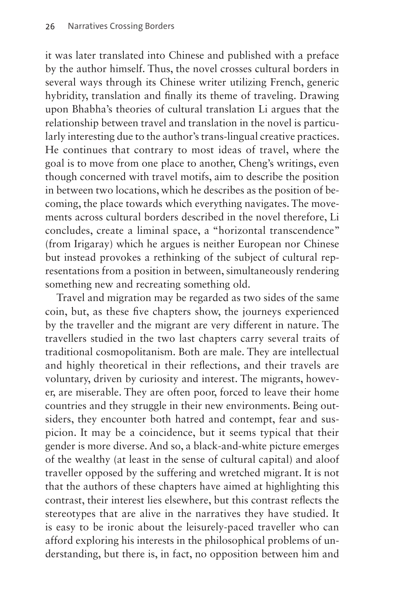it was later translated into Chinese and published with a preface by the author himself. Thus, the novel crosses cultural borders in several ways through its Chinese writer utilizing French, generic hybridity, translation and finally its theme of traveling. Drawing upon Bhabha's theories of cultural translation Li argues that the relationship between travel and translation in the novel is particularly interesting due to the author's trans-lingual creative practices. He continues that contrary to most ideas of travel, where the goal is to move from one place to another, Cheng's writings, even though concerned with travel motifs, aim to describe the position in between two locations, which he describes as the position of becoming, the place towards which everything navigates. The movements across cultural borders described in the novel therefore, Li concludes, create a liminal space, a "horizontal transcendence" (from Irigaray) which he argues is neither European nor Chinese but instead provokes a rethinking of the subject of cultural representations from a position in between, simultaneously rendering something new and recreating something old.

Travel and migration may be regarded as two sides of the same coin, but, as these five chapters show, the journeys experienced by the traveller and the migrant are very different in nature. The travellers studied in the two last chapters carry several traits of traditional cosmopolitanism. Both are male. They are intellectual and highly theoretical in their reflections, and their travels are voluntary, driven by curiosity and interest. The migrants, however, are miserable. They are often poor, forced to leave their home countries and they struggle in their new environments. Being outsiders, they encounter both hatred and contempt, fear and suspicion. It may be a coincidence, but it seems typical that their gender is more diverse. And so, a black-and-white picture emerges of the wealthy (at least in the sense of cultural capital) and aloof traveller opposed by the suffering and wretched migrant. It is not that the authors of these chapters have aimed at highlighting this contrast, their interest lies elsewhere, but this contrast reflects the stereotypes that are alive in the narratives they have studied. It is easy to be ironic about the leisurely-paced traveller who can afford exploring his interests in the philosophical problems of understanding, but there is, in fact, no opposition between him and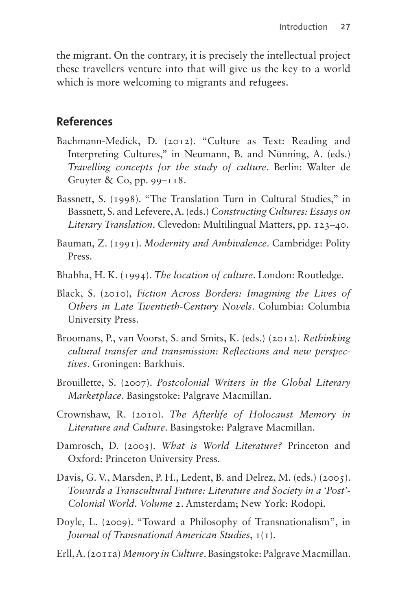the migrant. On the contrary, it is precisely the intellectual project these travellers venture into that will give us the key to a world which is more welcoming to migrants and refugees.

#### **References**

- Bachmann-Medick, D. (2012). "Culture as Text: Reading and Interpreting Cultures," in Neumann, B. and Nünning, A. (eds.) *Travelling concepts for the study of culture*. Berlin: Walter de Gruyter & Co, pp. 99–118.
- Bassnett, S. (1998). "The Translation Turn in Cultural Studies," in Bassnett, S. and Lefevere, A. (eds.) *Constructing Cultures: Essays on Literary Translation*. Clevedon: Multilingual Matters, pp. 123–40.
- Bauman, Z. (1991). *Modernity and Ambivalence*. Cambridge: Polity Press.
- Bhabha, H. K. (1994). *The location of culture*. London: Routledge.
- Black, S. (2010), *Fiction Across Borders: Imagining the Lives of Others in Late Twentieth-Century Novels*. Columbia: Columbia University Press.
- Broomans, P., van Voorst, S. and Smits, K. (eds.) (2012). *Rethinking cultural transfer and transmission: Reflections and new perspectives*. Groningen: Barkhuis.
- Brouillette, S. (2007). *Postcolonial Writers in the Global Literary Marketplace*. Basingstoke: Palgrave Macmillan.
- Crownshaw, R. (2010). *The Afterlife of Holocaust Memory in Literature and Culture*. Basingstoke: Palgrave Macmillan.
- Damrosch, D. (2003). *What is World Literature?* Princeton and Oxford: Princeton University Press.
- Davis, G. V., Marsden, P. H., Ledent, B. and Delrez, M. (eds.) (2005). *Towards a Transcultural Future: Literature and Society in a 'Post'- Colonial World*. *Volume 2*. Amsterdam; New York: Rodopi.
- Doyle, L. (2009). "Toward a Philosophy of Transnationalism", in *Journal of Transnational American Studies*, 1(1).
- Erll, A. (2011a) *Memory in Culture*. Basingstoke: Palgrave Macmillan.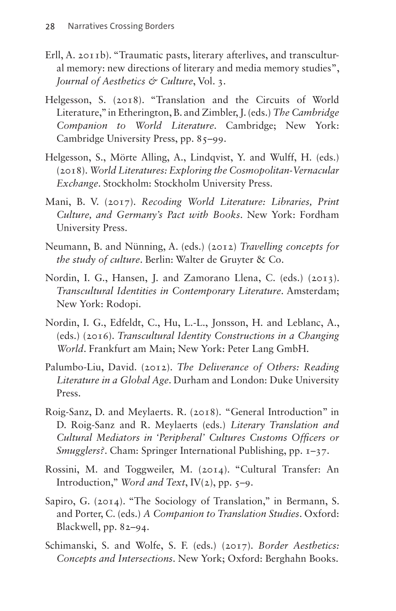- Erll, A. 2011b). "Traumatic pasts, literary afterlives, and transcultural memory: new directions of literary and media memory studies", *Journal of Aesthetics & Culture*, Vol. 3.
- Helgesson, S. (2018). "Translation and the Circuits of World Literature," in Etherington, B. and Zimbler, J. (eds.) *The Cambridge Companion to World Literature*. Cambridge; New York: Cambridge University Press, pp. 85–99.
- Helgesson, S., Mörte Alling, A., Lindqvist, Y. and Wulff, H. (eds.) (2018). *World Literatures: Exploring the Cosmopolitan-Vernacular Exchange*. Stockholm: Stockholm University Press.
- Mani, B. V. (2017). *Recoding World Literature: Libraries, Print Culture, and Germany's Pact with Books*. New York: Fordham University Press.
- Neumann, B. and Nünning, A. (eds.) (2012) *Travelling concepts for the study of culture*. Berlin: Walter de Gruyter & Co.
- Nordin, I. G., Hansen, J. and Zamorano Llena, C. (eds.) (2013). *Transcultural Identities in Contemporary Literature*. Amsterdam; New York: Rodopi.
- Nordin, I. G., Edfeldt, C., Hu, L.-L., Jonsson, H. and Leblanc, A., (eds.) (2016). *Transcultural Identity Constructions in a Changing World*. Frankfurt am Main; New York: Peter Lang GmbH.
- Palumbo-Liu, David. (2012). *The Deliverance of Others: Reading Literature in a Global Age*. Durham and London: Duke University Press.
- Roig-Sanz, D. and Meylaerts. R. (2018). "General [Introduction](#page-0-0)" in D. Roig-Sanz and R. Meylaerts (eds.) *Literary Translation and Cultural Mediators in 'Peripheral' Cultures Customs Officers or Smugglers?*. Cham: Springer International Publishing, pp. 1–37.
- Rossini, M. and Toggweiler, M. (2014). "Cultural Transfer: An [Introduction](#page-0-0)," *Word and Text*, IV(2), pp. 5–9.
- Sapiro, G. (2014). "The Sociology of Translation," in Bermann, S. and Porter, C. (eds.) *A Companion to Translation Studies*. Oxford: Blackwell, pp. 82–94.
- Schimanski, S. and Wolfe, S. F. (eds.) (2017). *Border Aesthetics: Concepts and Intersections*. New York; Oxford: Berghahn Books.